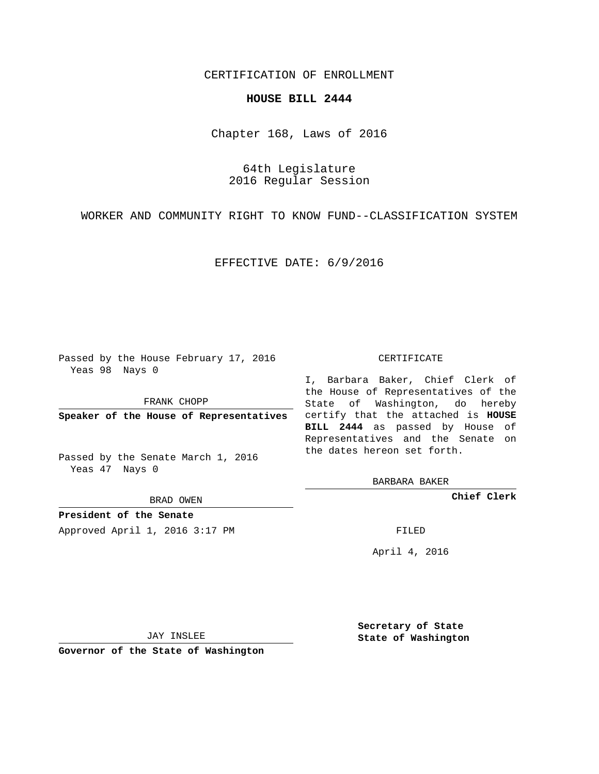## CERTIFICATION OF ENROLLMENT

## **HOUSE BILL 2444**

Chapter 168, Laws of 2016

64th Legislature 2016 Regular Session

WORKER AND COMMUNITY RIGHT TO KNOW FUND--CLASSIFICATION SYSTEM

EFFECTIVE DATE: 6/9/2016

Passed by the House February 17, 2016 Yeas 98 Nays 0

FRANK CHOPP

Passed by the Senate March 1, 2016 Yeas 47 Nays 0

BRAD OWEN

**President of the Senate**

Approved April 1, 2016 3:17 PM FILED

## CERTIFICATE

**Speaker of the House of Representatives** certify that the attached is **HOUSE** I, Barbara Baker, Chief Clerk of the House of Representatives of the State of Washington, do hereby **BILL 2444** as passed by House of Representatives and the Senate on the dates hereon set forth.

BARBARA BAKER

**Chief Clerk**

April 4, 2016

JAY INSLEE

**Governor of the State of Washington**

**Secretary of State State of Washington**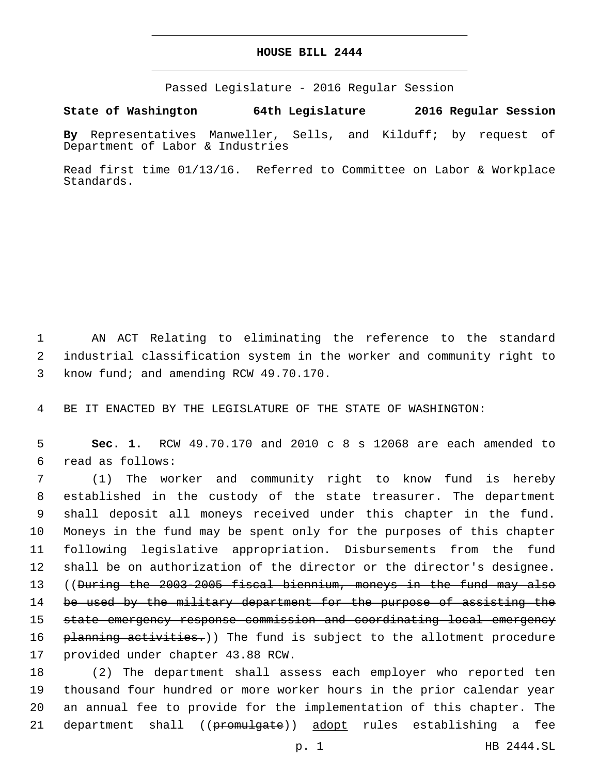## **HOUSE BILL 2444**

Passed Legislature - 2016 Regular Session

**State of Washington 64th Legislature 2016 Regular Session**

**By** Representatives Manweller, Sells, and Kilduff; by request of Department of Labor & Industries

Read first time 01/13/16. Referred to Committee on Labor & Workplace Standards.

1 AN ACT Relating to eliminating the reference to the standard 2 industrial classification system in the worker and community right to 3 know fund; and amending RCW 49.70.170.

4 BE IT ENACTED BY THE LEGISLATURE OF THE STATE OF WASHINGTON:

5 **Sec. 1.** RCW 49.70.170 and 2010 c 8 s 12068 are each amended to read as follows:6

 (1) The worker and community right to know fund is hereby established in the custody of the state treasurer. The department shall deposit all moneys received under this chapter in the fund. Moneys in the fund may be spent only for the purposes of this chapter following legislative appropriation. Disbursements from the fund shall be on authorization of the director or the director's designee. 13 ((<del>During the 2003-2005 fiscal biennium, moneys in the fund may also</del> 14 be used by the military department for the purpose of assisting the state emergency response commission and coordinating local emergency 16 planning activities.)) The fund is subject to the allotment procedure 17 provided under chapter 43.88 RCW.

 (2) The department shall assess each employer who reported ten thousand four hundred or more worker hours in the prior calendar year an annual fee to provide for the implementation of this chapter. The 21 department shall ((promulgate)) adopt rules establishing a fee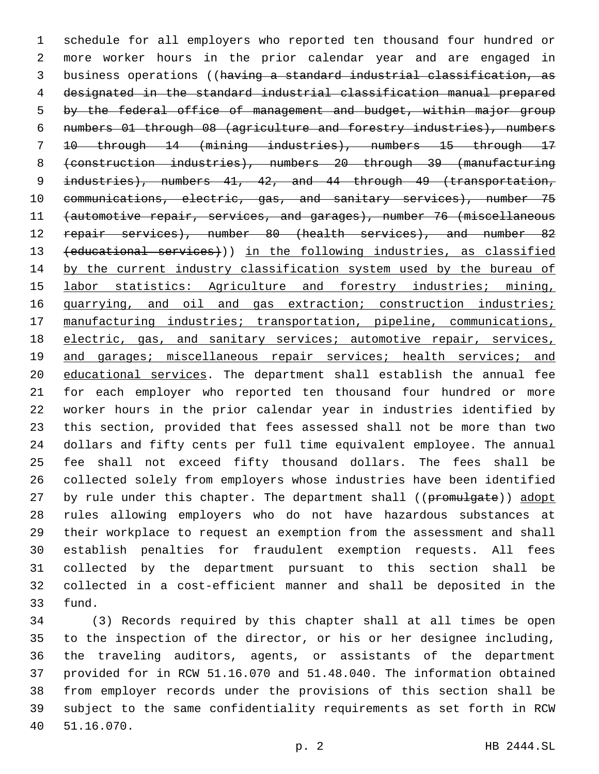schedule for all employers who reported ten thousand four hundred or more worker hours in the prior calendar year and are engaged in business operations ((having a standard industrial classification, as designated in the standard industrial classification manual prepared 5 by the federal office of management and budget, within major group numbers 01 through 08 (agriculture and forestry industries), numbers 10 through 14 (mining industries), numbers 15 through 17 (construction industries), numbers 20 through 39 (manufacturing 9 industries), numbers 41, 42, and 44 through 49 (transportation, 10 communications, electric, gas, and sanitary services), number 75 (automotive repair, services, and garages), number 76 (miscellaneous 12 repair services), number 80 (health services), and number 82 (educational services))) in the following industries, as classified 14 by the current industry classification system used by the bureau of 15 labor statistics: Agriculture and forestry industries; mining, 16 quarrying, and oil and gas extraction; construction industries; manufacturing industries; transportation, pipeline, communications, electric, gas, and sanitary services; automotive repair, services, 19 and garages; miscellaneous repair services; health services; and educational services. The department shall establish the annual fee for each employer who reported ten thousand four hundred or more worker hours in the prior calendar year in industries identified by this section, provided that fees assessed shall not be more than two dollars and fifty cents per full time equivalent employee. The annual fee shall not exceed fifty thousand dollars. The fees shall be collected solely from employers whose industries have been identified 27 by rule under this chapter. The department shall ((promulgate)) adopt rules allowing employers who do not have hazardous substances at their workplace to request an exemption from the assessment and shall establish penalties for fraudulent exemption requests. All fees collected by the department pursuant to this section shall be collected in a cost-efficient manner and shall be deposited in the 33 fund.

 (3) Records required by this chapter shall at all times be open to the inspection of the director, or his or her designee including, the traveling auditors, agents, or assistants of the department provided for in RCW 51.16.070 and 51.48.040. The information obtained from employer records under the provisions of this section shall be subject to the same confidentiality requirements as set forth in RCW 51.16.070.40